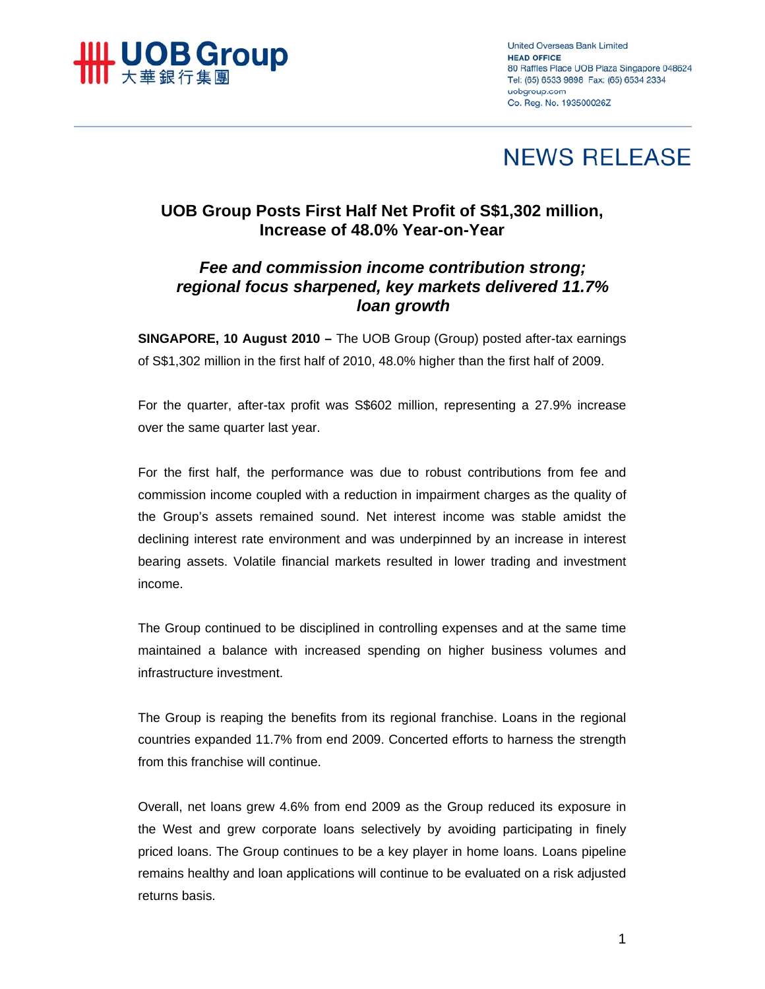

**United Overseas Bank Limited HEAD OFFICE** 80 Raffles Place UOB Plaza Singapore 048624 Tel: (65) 6533 9898 Fax: (65) 6534 2334 uobgroup.com Co. Reg. No. 193500026Z

# **NEWS RELEASE**

# **UOB Group Posts First Half Net Profit of S\$1,302 million, Increase of 48.0% Year-on-Year**

# *Fee and commission income contribution strong; regional focus sharpened, key markets delivered 11.7% loan growth*

**SINGAPORE, 10 August 2010 –** The UOB Group (Group) posted after-tax earnings of S\$1,302 million in the first half of 2010, 48.0% higher than the first half of 2009.

For the quarter, after-tax profit was S\$602 million, representing a 27.9% increase over the same quarter last year.

For the first half, the performance was due to robust contributions from fee and commission income coupled with a reduction in impairment charges as the quality of the Group's assets remained sound. Net interest income was stable amidst the declining interest rate environment and was underpinned by an increase in interest bearing assets. Volatile financial markets resulted in lower trading and investment income.

The Group continued to be disciplined in controlling expenses and at the same time maintained a balance with increased spending on higher business volumes and infrastructure investment.

The Group is reaping the benefits from its regional franchise. Loans in the regional countries expanded 11.7% from end 2009. Concerted efforts to harness the strength from this franchise will continue.

Overall, net loans grew 4.6% from end 2009 as the Group reduced its exposure in the West and grew corporate loans selectively by avoiding participating in finely priced loans. The Group continues to be a key player in home loans. Loans pipeline remains healthy and loan applications will continue to be evaluated on a risk adjusted returns basis.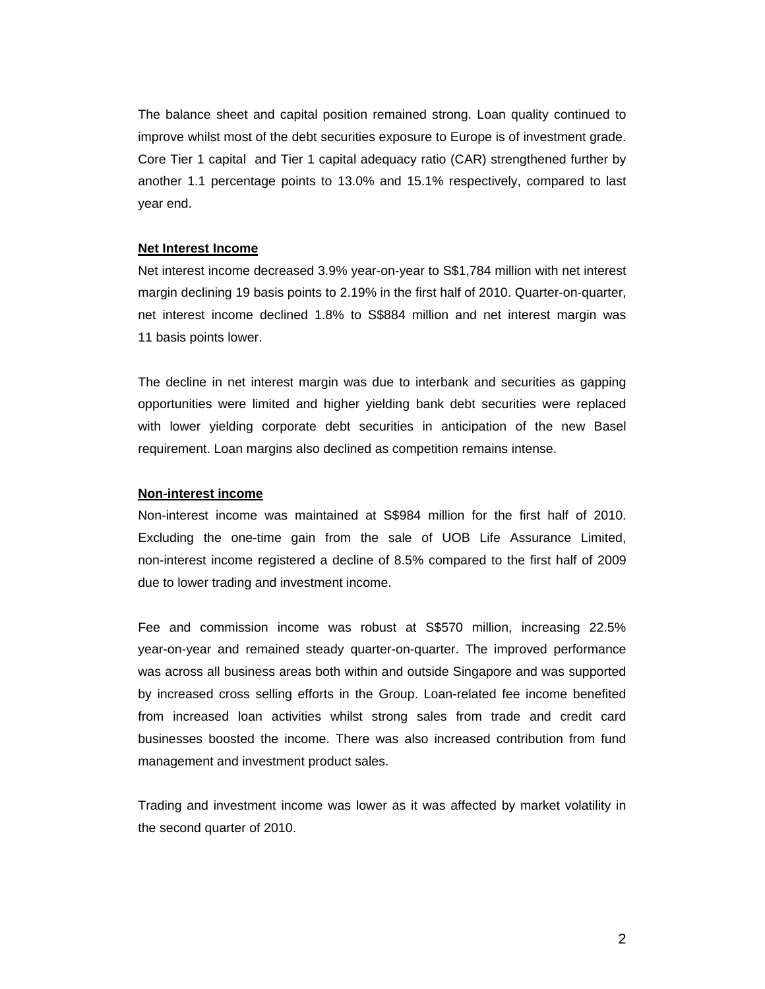The balance sheet and capital position remained strong. Loan quality continued to improve whilst most of the debt securities exposure to Europe is of investment grade. Core Tier 1 capital and Tier 1 capital adequacy ratio (CAR) strengthened further by another 1.1 percentage points to 13.0% and 15.1% respectively, compared to last year end.

#### **Net Interest Income**

Net interest income decreased 3.9% year-on-year to S\$1,784 million with net interest margin declining 19 basis points to 2.19% in the first half of 2010. Quarter-on-quarter, net interest income declined 1.8% to S\$884 million and net interest margin was 11 basis points lower.

The decline in net interest margin was due to interbank and securities as gapping opportunities were limited and higher yielding bank debt securities were replaced with lower yielding corporate debt securities in anticipation of the new Basel requirement. Loan margins also declined as competition remains intense.

#### **Non-interest income**

Non-interest income was maintained at S\$984 million for the first half of 2010. Excluding the one-time gain from the sale of UOB Life Assurance Limited, non-interest income registered a decline of 8.5% compared to the first half of 2009 due to lower trading and investment income.

Fee and commission income was robust at S\$570 million, increasing 22.5% year-on-year and remained steady quarter-on-quarter. The improved performance was across all business areas both within and outside Singapore and was supported by increased cross selling efforts in the Group. Loan-related fee income benefited from increased loan activities whilst strong sales from trade and credit card businesses boosted the income. There was also increased contribution from fund management and investment product sales.

Trading and investment income was lower as it was affected by market volatility in the second quarter of 2010.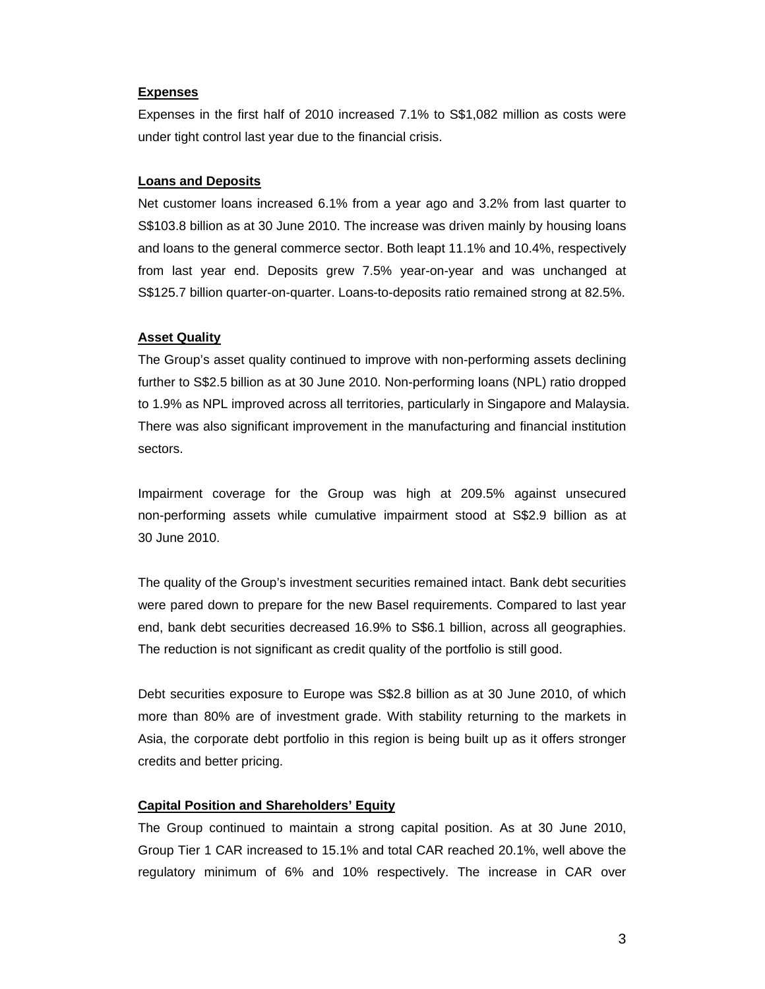## **Expenses**

Expenses in the first half of 2010 increased 7.1% to S\$1,082 million as costs were under tight control last year due to the financial crisis.

## **Loans and Deposits**

Net customer loans increased 6.1% from a year ago and 3.2% from last quarter to S\$103.8 billion as at 30 June 2010. The increase was driven mainly by housing loans and loans to the general commerce sector. Both leapt 11.1% and 10.4%, respectively from last year end. Deposits grew 7.5% year-on-year and was unchanged at S\$125.7 billion quarter-on-quarter. Loans-to-deposits ratio remained strong at 82.5%.

# **Asset Quality**

The Group's asset quality continued to improve with non-performing assets declining further to S\$2.5 billion as at 30 June 2010. Non-performing loans (NPL) ratio dropped to 1.9% as NPL improved across all territories, particularly in Singapore and Malaysia. There was also significant improvement in the manufacturing and financial institution sectors.

Impairment coverage for the Group was high at 209.5% against unsecured non-performing assets while cumulative impairment stood at S\$2.9 billion as at 30 June 2010.

The quality of the Group's investment securities remained intact. Bank debt securities were pared down to prepare for the new Basel requirements. Compared to last year end, bank debt securities decreased 16.9% to S\$6.1 billion, across all geographies. The reduction is not significant as credit quality of the portfolio is still good.

Debt securities exposure to Europe was S\$2.8 billion as at 30 June 2010, of which more than 80% are of investment grade. With stability returning to the markets in Asia, the corporate debt portfolio in this region is being built up as it offers stronger credits and better pricing.

# **Capital Position and Shareholders' Equity**

The Group continued to maintain a strong capital position. As at 30 June 2010, Group Tier 1 CAR increased to 15.1% and total CAR reached 20.1%, well above the regulatory minimum of 6% and 10% respectively. The increase in CAR over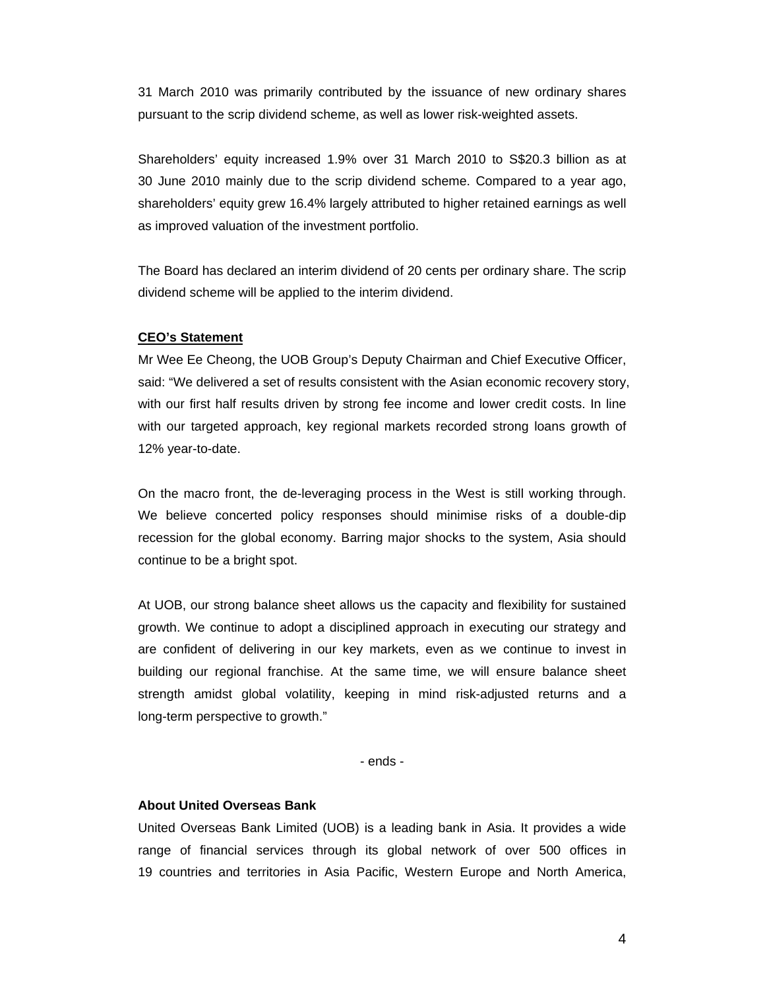31 March 2010 was primarily contributed by the issuance of new ordinary shares pursuant to the scrip dividend scheme, as well as lower risk-weighted assets.

Shareholders' equity increased 1.9% over 31 March 2010 to S\$20.3 billion as at 30 June 2010 mainly due to the scrip dividend scheme. Compared to a year ago, shareholders' equity grew 16.4% largely attributed to higher retained earnings as well as improved valuation of the investment portfolio.

The Board has declared an interim dividend of 20 cents per ordinary share. The scrip dividend scheme will be applied to the interim dividend.

### **CEO's Statement**

Mr Wee Ee Cheong, the UOB Group's Deputy Chairman and Chief Executive Officer, said: "We delivered a set of results consistent with the Asian economic recovery story, with our first half results driven by strong fee income and lower credit costs. In line with our targeted approach, key regional markets recorded strong loans growth of 12% year-to-date.

On the macro front, the de-leveraging process in the West is still working through. We believe concerted policy responses should minimise risks of a double-dip recession for the global economy. Barring major shocks to the system, Asia should continue to be a bright spot.

At UOB, our strong balance sheet allows us the capacity and flexibility for sustained growth. We continue to adopt a disciplined approach in executing our strategy and are confident of delivering in our key markets, even as we continue to invest in building our regional franchise. At the same time, we will ensure balance sheet strength amidst global volatility, keeping in mind risk-adjusted returns and a long-term perspective to growth."

- ends -

### **About United Overseas Bank**

United Overseas Bank Limited (UOB) is a leading bank in Asia. It provides a wide range of financial services through its global network of over 500 offices in 19 countries and territories in Asia Pacific, Western Europe and North America,